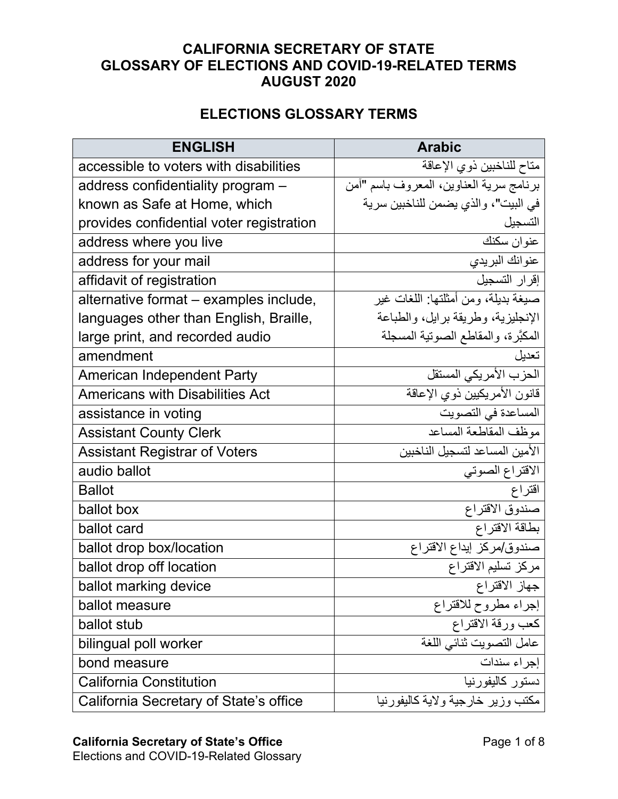## **CALIFORNIA SECRETARY OF STATE GLOSSARY OF ELECTIONS AND COVID-19-RELATED TERMS AUGUST 2020**

## **ELECTIONS GLOSSARY TERMS**

| <b>ENGLISH</b>                           | <b>Arabic</b>                           |
|------------------------------------------|-----------------------------------------|
| accessible to voters with disabilities   | متاح للناخبين ذوي الإعاقة               |
| address confidentiality program -        | برنامج سرية العناوين، المعروف باسم "أمن |
| known as Safe at Home, which             | في البيت"، والذي يضمن للناخبين سرية     |
| provides confidential voter registration | التسجبل                                 |
| address where you live                   | عنوان سكنك                              |
| address for your mail                    | عنوانك البريدي                          |
| affidavit of registration                | إقرار التسجيل                           |
| alternative format - examples include,   | صبغة بديلة، ومن أمثلتها: اللغات غير     |
| languages other than English, Braille,   | الإنجليزية، وطريقة برايل، والطباعة      |
| large print, and recorded audio          | المكبَّرة، والمقاطع الصوتية المسجلة     |
| amendment                                | تعدبل                                   |
| <b>American Independent Party</b>        | الحزب الأمريكي المستقل                  |
| <b>Americans with Disabilities Act</b>   | قانون الأمريكيين ذوي الإعاقة            |
| assistance in voting                     | المساعدة في التصويت                     |
| <b>Assistant County Clerk</b>            | موظف المقاطعة المساعد                   |
| <b>Assistant Registrar of Voters</b>     | الأمين المساعد لتسجيل الناخبين          |
| audio ballot                             | الاقتراع الصوتي                         |
| <b>Ballot</b>                            | اقتراع                                  |
| ballot box                               | صندوق الاقتراع                          |
| ballot card                              | بطاقة الاقتراع                          |
| ballot drop box/location                 | صندوق/مركز إيداع الاقتراع               |
| ballot drop off location                 | مركز تسليم الاقتراع                     |
| ballot marking device                    | جهاز الاقتراع                           |
| ballot measure                           | إجراء مطروح للاقتراع                    |
| ballot stub                              | كعب ورقة الاقتراع                       |
| bilingual poll worker                    | عامل التصويت ثنائي اللغة                |
| bond measure                             | إجراء سندات                             |
| <b>California Constitution</b>           | دستور كاليفورنيا                        |
| California Secretary of State's office   | مكتب وزير خارجية ولاية كاليفورنيا       |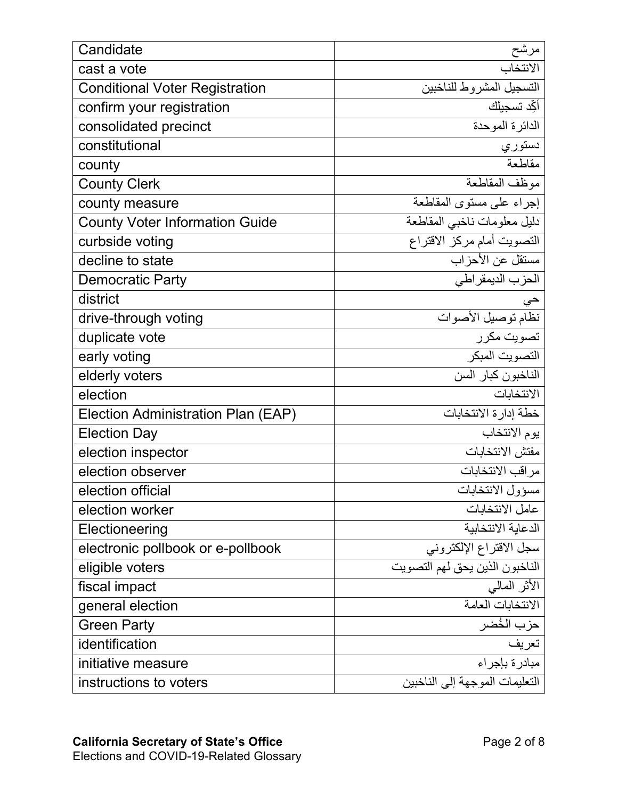| Candidate                             | مرشح                           |
|---------------------------------------|--------------------------------|
| cast a vote                           | الانتخاب                       |
| <b>Conditional Voter Registration</b> | التسجيل المشروط للناخبين       |
| confirm your registration             | أكِّد تسجيلك                   |
| consolidated precinct                 | الدائرة الموحدة                |
| constitutional                        | دستوري                         |
| county                                | مقاطعة                         |
| <b>County Clerk</b>                   | موظف المقاطعة                  |
| county measure                        | إجراء على مستوى المقاطعة       |
| <b>County Voter Information Guide</b> | دليل معلومات ناخبي المقاطعة    |
| curbside voting                       | التصويت أمام مركز الاقتراع     |
| decline to state                      | مستقل عن الأحزاب               |
| <b>Democratic Party</b>               | الحزب الديمقراطي               |
| district                              | حي                             |
| drive-through voting                  | نظام توصيل الأصوات             |
| duplicate vote                        | تصويت مكرر                     |
| early voting                          | التصويت المبكر                 |
| elderly voters                        | الناخبون كبار السن             |
| election                              | الانتخابات                     |
| Election Administration Plan (EAP)    | خطة إدارة الانتخابات           |
| <b>Election Day</b>                   | يوم الانتخاب                   |
| election inspector                    | مفتش الانتخابات                |
| election observer                     | مراقب الانتخابات               |
| election official                     | مسؤول الانتخابات               |
| election worker                       | عامل الانتخابات                |
| Electioneering                        | الدعاية الانتخابية             |
| electronic pollbook or e-pollbook     | سجل الاقتراع الإلكتروني        |
| eligible voters                       | الناخبون الذين يحق لهم التصويت |
| fiscal impact                         | الأثر المالي                   |
| general election                      | الانتخابات العامة              |
| <b>Green Party</b>                    | حزب الخُضر                     |
| identification                        | تعريف                          |
| initiative measure                    | مبادرة بإجراء                  |
| instructions to voters                | التعليمات الموجهة إلى الناخبين |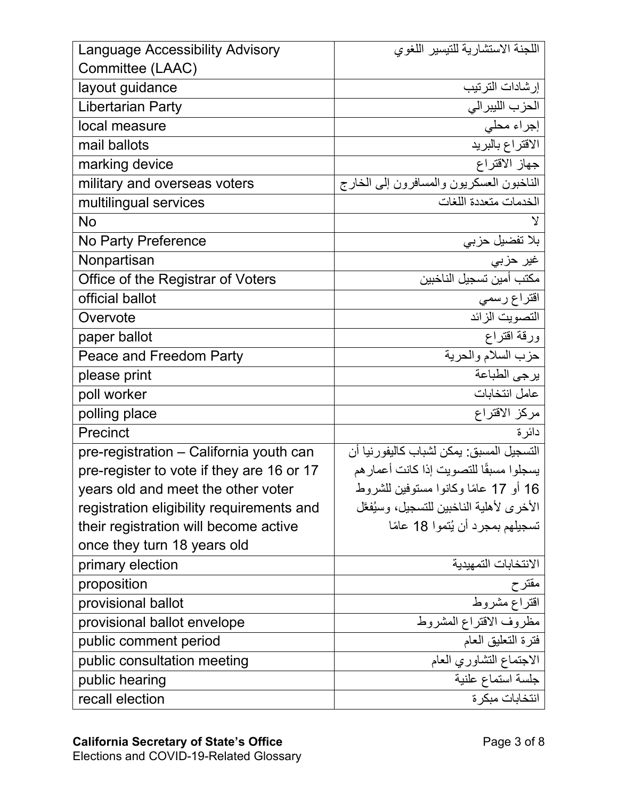| <b>Language Accessibility Advisory</b>    | اللجنة الاستشارية للتيسير اللغوى          |
|-------------------------------------------|-------------------------------------------|
| Committee (LAAC)                          |                                           |
| layout guidance                           | إرشادات الترتيب                           |
| <b>Libertarian Party</b>                  | الحزب الليبرالي                           |
| local measure                             | إجراء محلي                                |
| mail ballots                              | الاقتراع بالبريد                          |
| marking device                            | جهاز الاقتراع                             |
| military and overseas voters              | الناخبون العسكريون والمسافرون إلىي الخارج |
| multilingual services                     | الخدمات متعددة اللغات                     |
| <b>No</b>                                 | V                                         |
| No Party Preference                       | بلا تفضيل حزبي                            |
| Nonpartisan                               | غير حزبي                                  |
| Office of the Registrar of Voters         | مكتب أمين تسجيل الناخبين                  |
| official ballot                           | اقتراع رسمي                               |
| Overvote                                  | التصويت الزائد                            |
| paper ballot                              | ورقة اقتراع                               |
| Peace and Freedom Party                   | حزب السلام والحرية                        |
| please print                              | يرجى الطباعة                              |
| poll worker                               | عامل انتخابات                             |
| polling place                             | مركز الاقتراع                             |
| Precinct                                  | دائرة                                     |
| pre-registration - California youth can   | التسجيل المسبق: يمكن لشباب كاليفور نيا أن |
| pre-register to vote if they are 16 or 17 | يسجلوا مسبقًا للتصويت إذا كانت أعمار هم   |
| years old and meet the other voter        | 16 أو 17 عامًا وكانوا مستوفين للشروط      |
| registration eligibility requirements and | الأخرى لأهلية الناخبين للتسجيل، وسيُفعَّل |
| their registration will become active     | تسجيلهم بمجرد أن يُتموا 18 عامًا          |
| once they turn 18 years old               |                                           |
| primary election                          | الانتخابات التمهيدبة                      |
| proposition                               | مقترح                                     |
| provisional ballot                        | اقتراع مشروط                              |
| provisional ballot envelope               | مظروف الاقتراع المشروط                    |
| public comment period                     | فترة التعليق العام                        |
| public consultation meeting               | الاجتماع التشاوري العام                   |
| public hearing                            | جلسة استماع علنية                         |
| recall election                           | انتخابات مبكر ة                           |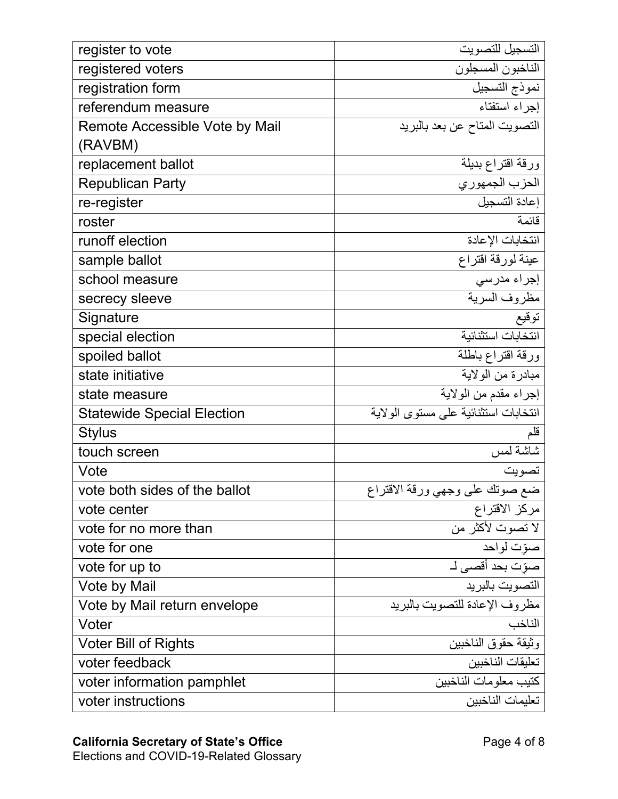| register to vote                  | التسجيل للتصويت                      |
|-----------------------------------|--------------------------------------|
| registered voters                 | الناخبون المسجلون                    |
| registration form                 | نموذج التسجيل                        |
| referendum measure                | إجراء استفتاء                        |
| Remote Accessible Vote by Mail    | التصويت المتاح عن بعد بالبريد        |
| (RAVBM)                           |                                      |
| replacement ballot                | ورقة اقتراع بديلة                    |
| <b>Republican Party</b>           | الحزب الجمهوري                       |
| re-register                       | إعادة التسجيل                        |
| roster                            | قائمة                                |
| runoff election                   | انتخابات الإعادة                     |
| sample ballot                     | عينة لورقة اقتراع                    |
| school measure                    | إجراء مدرسى                          |
| secrecy sleeve                    | مظروف السرية                         |
| Signature                         | توقيع                                |
| special election                  | انتخابات استثنائية                   |
| spoiled ballot                    | ورقة اقتراع باطلة                    |
| state initiative                  | مبادرة من الولاية                    |
| state measure                     | إجراء مقدم من الولاية                |
| <b>Statewide Special Election</b> | انتخابات استثنائية على مستوى الولاية |
| <b>Stylus</b>                     |                                      |
| touch screen                      | شاشة لمس                             |
| Vote                              | تصويت                                |
| vote both sides of the ballot     | ضع صوتك على وجهي ورقة الاقتراع       |
| vote center                       | مركز الاقتراع                        |
| vote for no more than             | لا تصوت لأكثر من                     |
| vote for one                      | صوّت لواحد                           |
| vote for up to                    | صوّت بحد أقصىي لـ                    |
| Vote by Mail                      | التصويت بالبريد                      |
| Vote by Mail return envelope      | مظروف الإعادة للتصويت بالبريد        |
| Voter                             | الناخب                               |
| <b>Voter Bill of Rights</b>       | وثيقة حقوق الناخبين                  |
| voter feedback                    | تعليقات الناخبين                     |
| voter information pamphlet        | كتيب معلومات الناخبين                |
| voter instructions                | تعليمات الناخبين                     |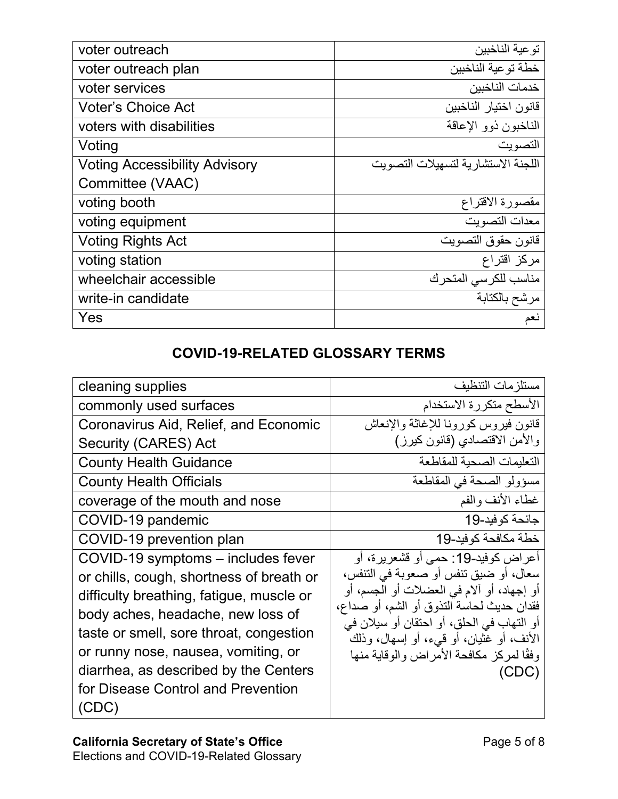| voter outreach                       | تو عية الناخبين                     |
|--------------------------------------|-------------------------------------|
| voter outreach plan                  | خطة تو عبة الناخبين                 |
| voter services                       | خدمات الناخبين                      |
| <b>Voter's Choice Act</b>            | قانون اختيار الناخبين               |
| voters with disabilities             | الناخبون ذوو الإعاقة                |
| Voting                               | التصوبت                             |
| <b>Voting Accessibility Advisory</b> | اللجنة الاستشار بة لتسهيلات التصويت |
| Committee (VAAC)                     |                                     |
| voting booth                         | مقصورة الاقتراع                     |
| voting equipment                     | معدات التصويت                       |
| <b>Voting Rights Act</b>             | قانون حقوق التصويت                  |
| voting station                       | مركز اقتراع                         |
| wheelchair accessible                | مناسب للكرسى المتحرك                |
| write-in candidate                   | مرشح بالكتابة                       |
| Yes                                  | نعم                                 |

## **COVID-19-RELATED GLOSSARY TERMS**

| cleaning supplies                        | مستلز مات التنظيف                                                                     |
|------------------------------------------|---------------------------------------------------------------------------------------|
| commonly used surfaces                   | الأسطح متكررة الاستخدام                                                               |
| Coronavirus Aid, Relief, and Economic    | قانون فيروس كورونا للإغاثة والإنعاش                                                   |
| Security (CARES) Act                     | والأمن الاقتصادي (قانون كيرز)                                                         |
| <b>County Health Guidance</b>            | التعليمات الصحية للمقاطعة                                                             |
| <b>County Health Officials</b>           | مسؤولو الصحة في المقاطعة                                                              |
| coverage of the mouth and nose           | غطاء الأنف والفم                                                                      |
| COVID-19 pandemic                        | جائحة كوفيد-19                                                                        |
| COVID-19 prevention plan                 | خطة مكافحة كوفيد-19                                                                   |
| COVID-19 symptoms – includes fever       | أعراض كوفيد-19: حمى أو قشعريرة، أو                                                    |
| or chills, cough, shortness of breath or | سعال، أو ضبيق تنفس أو صعوبة في التنفس،                                                |
| difficulty breathing, fatigue, muscle or | أو إجهاد، أو آلام في العضلات أو الجسم، أو                                             |
| body aches, headache, new loss of        | فقدان حديث لحاسة النذوق أو الشم، أو صداع،                                             |
| taste or smell, sore throat, congestion  | أو التهاب في الحلق، أو احتقان أو سيلان في<br>الأنف، أو غثيان، أو قييء، أو إسهال، وذلك |
| or runny nose, nausea, vomiting, or      | وفقًا لمركز مكافحة الأمر اض والوقاية منها                                             |
| diarrhea, as described by the Centers    | (CDC)                                                                                 |
| for Disease Control and Prevention       |                                                                                       |
| (CDC)                                    |                                                                                       |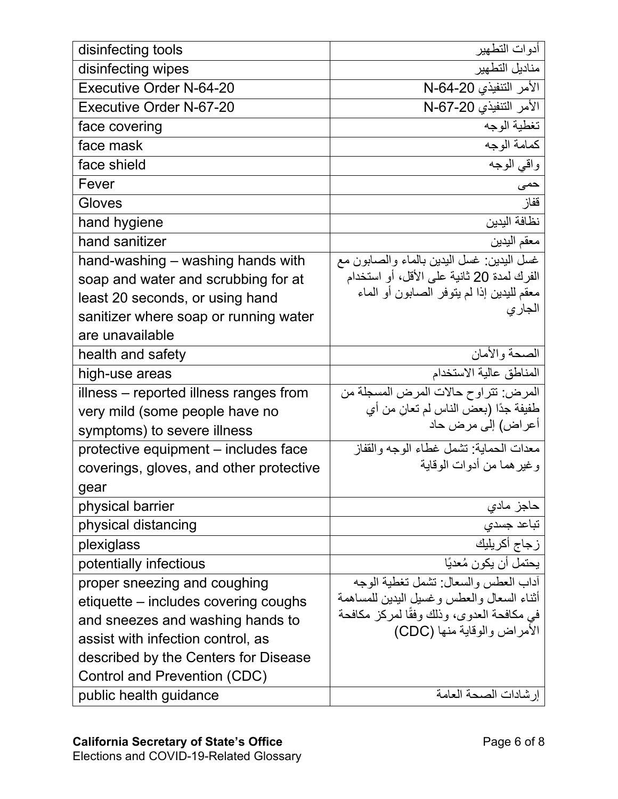| disinfecting tools                      | أدوات التطهير                                                            |
|-----------------------------------------|--------------------------------------------------------------------------|
| disinfecting wipes                      | مناديل التطهير                                                           |
| Executive Order N-64-20                 | الأمر التنفيذي 20-64-N                                                   |
| Executive Order N-67-20                 | الأمر التنفيذي 20-N-67                                                   |
| face covering                           | تغطية الوجه                                                              |
| face mask                               | كمامة الوجه                                                              |
| face shield                             | واقي الوجه                                                               |
| Fever                                   | حمى                                                                      |
| Gloves                                  | قفاز                                                                     |
| hand hygiene                            | نظافة اليدين                                                             |
| hand sanitizer                          | معقم اليدين                                                              |
| hand-washing - washing hands with       | غسل البيدين: غسل البيدين بالماء والصـابون مع                             |
| soap and water and scrubbing for at     | الفرك لمدة 20 ثانية على الأقل، أو استخدام                                |
| least 20 seconds, or using hand         | معقم لليدين إذا لم يتوفر الصابون أو الماء                                |
| sanitizer where soap or running water   | الجاري                                                                   |
| are unavailable                         |                                                                          |
| health and safety                       | الصحة والأمان                                                            |
| high-use areas                          | المناطق عالية الاستخدام                                                  |
| illness – reported illness ranges from  | المرض: تتراوح حالات المرض المسجلة من                                     |
| very mild (some people have no          | طَفيفة جدًا (بعض الناس لم تعان من أي                                     |
| symptoms) to severe illness             | أعراض) إلى مرض حاد                                                       |
| protective equipment – includes face    | معدات الحماية: تشمل غطاء الوجه والقفاز                                   |
| coverings, gloves, and other protective | وغير هما من أدوات الوقاية                                                |
| gear                                    |                                                                          |
| physical barrier                        | حاجز مادي                                                                |
| physical distancing                     | تباعد جسدى                                                               |
| plexiglass                              | زجاج أكريليك                                                             |
| potentially infectious                  | يحتمل أن يكون مُعديًا                                                    |
| proper sneezing and coughing            | آداب العطس والسعال: تشمل تغطية الوجه                                     |
| etiquette – includes covering coughs    | أثناء السعال والعطس وغسيل البدبن للمساهمة                                |
| and sneezes and washing hands to        | في مكافحة العدوي، وذلك وفقًا لمركز مكافحة<br>الأمراض والوقاية منها (CDC) |
| assist with infection control, as       |                                                                          |
| described by the Centers for Disease    |                                                                          |
| Control and Prevention (CDC)            |                                                                          |
| public health guidance                  | إرشادات الصحة العامة                                                     |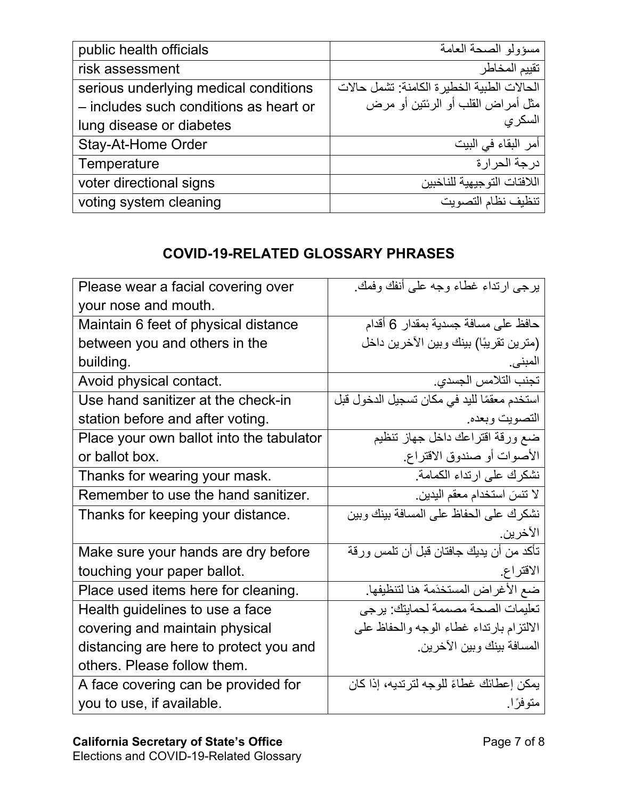| public health officials                | مسؤولو الصحة العامة                         |
|----------------------------------------|---------------------------------------------|
| risk assessment                        | تقييم المخاطر                               |
| serious underlying medical conditions  | الحالات الطبية الخطير ة الكامنة: تشمل حالات |
| - includes such conditions as heart or | مثل أمراض القلب أو الرئتين أو مرض           |
| lung disease or diabetes               | السكرى                                      |
| <b>Stay-At-Home Order</b>              | أمر البقاء في البيت                         |
| Temperature                            | در جة الحر ار ة                             |
| voter directional signs                | اللافتات التوجبهبة للناخببن                 |
| voting system cleaning                 | تنظبف نظام التصويت                          |

## **COVID-19-RELATED GLOSSARY PHRASES**

| Please wear a facial covering over       | برجي ارتداء غطاء وجه على أنفك وفمك.         |
|------------------------------------------|---------------------------------------------|
| your nose and mouth.                     |                                             |
| Maintain 6 feet of physical distance     | حافظ على مسافة جسدية بمقدار 6 أقدام         |
| between you and others in the            | (مترين تقريبًا) بينك وبين الآخرين داخل      |
| building.                                | المبني.                                     |
| Avoid physical contact.                  | تجنب التلامس الجسدى.                        |
| Use hand sanitizer at the check-in       | استخدم معقمًا لليد في مكان تسجيل الدخول قبل |
| station before and after voting.         | التصويت وبعده                               |
| Place your own ballot into the tabulator | ضع ورقة اقتراعك داخل جهاز تنظيم             |
| or ballot box.                           | الأصوات أو صندوق الاقتراع.                  |
| Thanks for wearing your mask.            | نشكرك على ارتداء الكمامة                    |
| Remember to use the hand sanitizer.      | لا تنسَ استخدام معقم اليدين.                |
| Thanks for keeping your distance.        | نشكرك على الحفاظ على المسافة بينك وبين      |
|                                          | الآخرين.                                    |
| Make sure your hands are dry before      | تأكد من أن يديك جافتان قبل أن تلمس ورقة     |
| touching your paper ballot.              | الاقتراع                                    |
| Place used items here for cleaning.      | ضع الأغراض المستخدَمة هنا لتنظيفها.         |
| Health guidelines to use a face          | تعليمات الصحة مصممة لحمايتك: يرجى           |
| covering and maintain physical           | الالتزام بارتداء غطاء الوجه والحفاظ على     |
| distancing are here to protect you and   | المسافة بينك وبين الآخرين.                  |
| others. Please follow them.              |                                             |
| A face covering can be provided for      | يمكن إعطائك غطاءً للوجه لترتديه، إذا كان    |
| you to use, if available.                | متوفرًا.                                    |